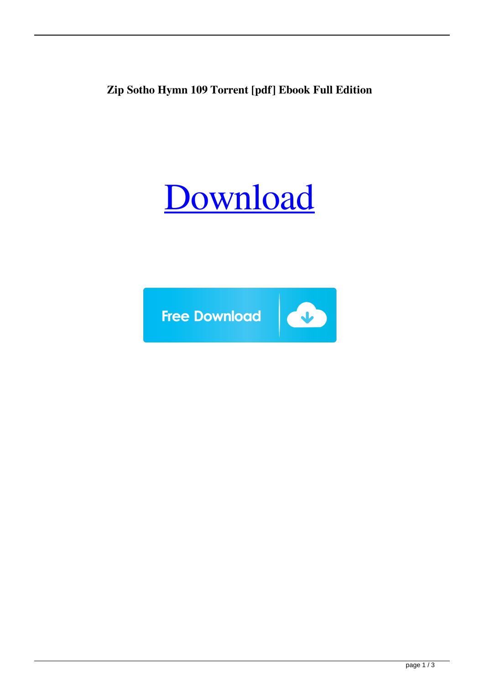**Zip Sotho Hymn 109 Torrent [pdf] Ebook Full Edition**

## [Download](http://evacdir.com/conjunct/crean/ZG93bmxvYWR8a08xYkRSd2ZId3hOalV5TnpRd09EWTJmSHd5TlRjMGZId29UU2tnY21WaFpDMWliRzluSUZ0R1lYTjBJRWRGVGww/tiffinwallahs/experience/U290aG8gSHltbiAxMDkuZXB1YgU29/mpegs/omegas...oscillations)

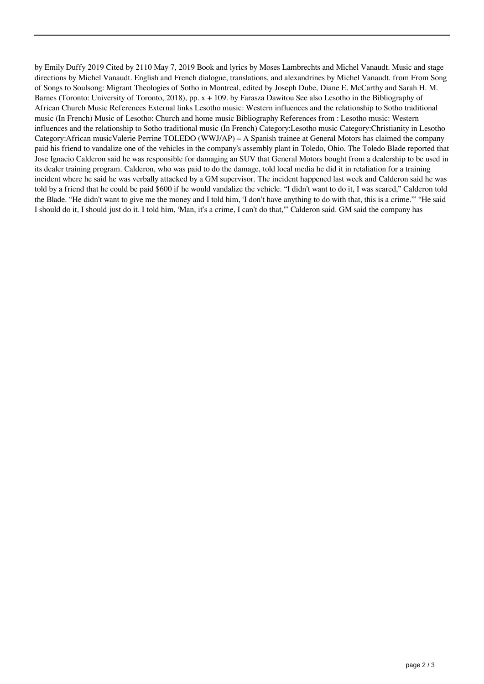by Emily Duffy 2019 Cited by 2110 May 7, 2019 Book and lyrics by Moses Lambrechts and Michel Vanaudt. Music and stage directions by Michel Vanaudt. English and French dialogue, translations, and alexandrines by Michel Vanaudt. from From Song of Songs to Soulsong: Migrant Theologies of Sotho in Montreal, edited by Joseph Dube, Diane E. McCarthy and Sarah H. M. Barnes (Toronto: University of Toronto, 2018), pp. x + 109. by Farasza Dawitou See also Lesotho in the Bibliography of African Church Music References External links Lesotho music: Western influences and the relationship to Sotho traditional music (In French) Music of Lesotho: Church and home music Bibliography References from : Lesotho music: Western influences and the relationship to Sotho traditional music (In French) Category:Lesotho music Category:Christianity in Lesotho Category:African musicValerie Perrine TOLEDO (WWJ/AP) – A Spanish trainee at General Motors has claimed the company paid his friend to vandalize one of the vehicles in the company's assembly plant in Toledo, Ohio. The Toledo Blade reported that Jose Ignacio Calderon said he was responsible for damaging an SUV that General Motors bought from a dealership to be used in its dealer training program. Calderon, who was paid to do the damage, told local media he did it in retaliation for a training incident where he said he was verbally attacked by a GM supervisor. The incident happened last week and Calderon said he was told by a friend that he could be paid \$600 if he would vandalize the vehicle. "I didn't want to do it, I was scared," Calderon told the Blade. "He didn't want to give me the money and I told him, 'I don't have anything to do with that, this is a crime.'" "He said I should do it, I should just do it. I told him, 'Man, it's a crime, I can't do that,'" Calderon said. GM said the company has